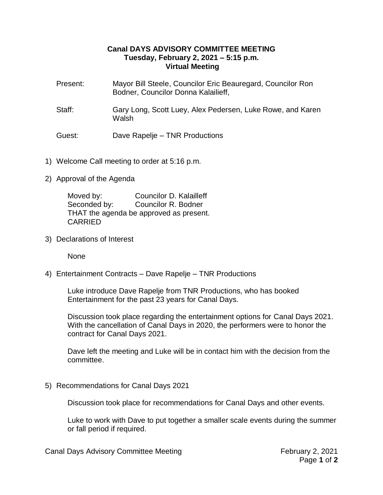## **Canal DAYS ADVISORY COMMITTEE MEETING Tuesday, February 2, 2021 – 5:15 p.m. Virtual Meeting**

- Present: Mayor Bill Steele, Councilor Eric Beauregard, Councilor Ron Bodner, Councilor Donna Kalailieff,
- Staff: Gary Long, Scott Luey, Alex Pedersen, Luke Rowe, and Karen **Walsh**

## Guest: Dave Rapelje – TNR Productions

- 1) Welcome Call meeting to order at 5:16 p.m.
- 2) Approval of the Agenda

Moved by: Councilor D. Kalailleff Seconded by: Councilor R. Bodner THAT the agenda be approved as present. CARRIED

3) Declarations of Interest

None

4) Entertainment Contracts – Dave Rapelje – TNR Productions

Luke introduce Dave Rapelje from TNR Productions, who has booked Entertainment for the past 23 years for Canal Days.

Discussion took place regarding the entertainment options for Canal Days 2021. With the cancellation of Canal Days in 2020, the performers were to honor the contract for Canal Days 2021.

Dave left the meeting and Luke will be in contact him with the decision from the committee.

5) Recommendations for Canal Days 2021

Discussion took place for recommendations for Canal Days and other events.

Luke to work with Dave to put together a smaller scale events during the summer or fall period if required.

Canal Days Advisory Committee Meeting February 2, 2021